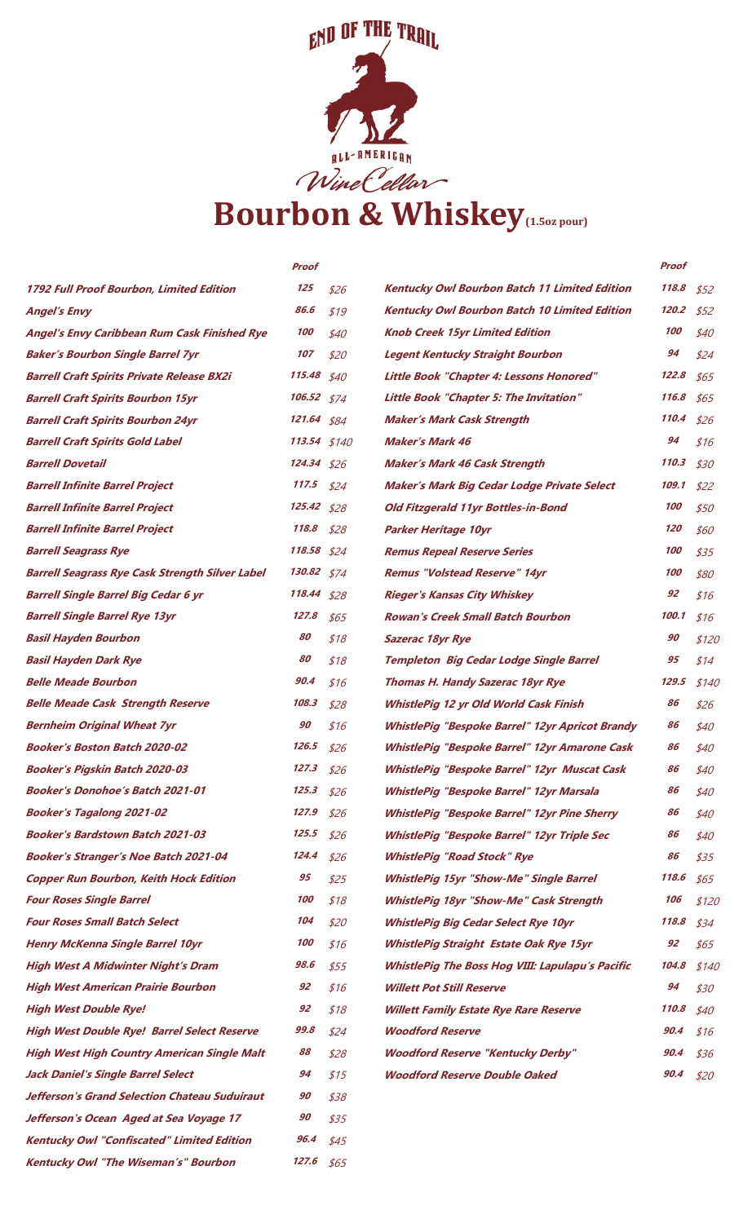

|                                                        | Proof          |      |                                                         | Proof |       |
|--------------------------------------------------------|----------------|------|---------------------------------------------------------|-------|-------|
| 1792 Full Proof Bourbon, Limited Edition               | 125            | \$26 | <b>Kentucky Owl Bourbon Batch 11 Limited Edition</b>    | 118.8 | \$52  |
| <b>Angel's Envy</b>                                    | 86.6           | \$19 | <b>Kentucky Owl Bourbon Batch 10 Limited Edition</b>    | 120.2 | \$52  |
| <b>Angel's Envy Caribbean Rum Cask Finished Rye</b>    | 100            | \$40 | <b>Knob Creek 15yr Limited Edition</b>                  | 100   | \$40  |
| <b>Baker's Bourbon Single Barrel 7yr</b>               | 107            | \$20 | <b>Legent Kentucky Straight Bourbon</b>                 | 94    | \$24  |
| <b>Barrell Craft Spirits Private Release BX2i</b>      | 115.48         | \$40 | Little Book "Chapter 4: Lessons Honored"                | 122.8 | \$65  |
| <b>Barrell Craft Spirits Bourbon 15yr</b>              | 106.52 \$74    |      | <b>Little Book "Chapter 5: The Invitation"</b>          | 116.8 | \$65  |
| <b>Barrell Craft Spirits Bourbon 24yr</b>              | 121.64 \$84    |      | <b>Maker's Mark Cask Strength</b>                       | 110.4 | \$26  |
| <b>Barrell Craft Spirits Gold Label</b>                | $113.54$ \$140 |      | <b>Maker's Mark 46</b>                                  | 94    | \$16  |
| <b>Barrell Dovetail</b>                                | $124.34$ \$26  |      | <b>Maker's Mark 46 Cask Strength</b>                    | 110.3 | \$30  |
| <b>Barrell Infinite Barrel Project</b>                 | 117.5          | \$24 | Maker's Mark Big Cedar Lodge Private Select             | 109.1 | \$22  |
| <b>Barrell Infinite Barrel Project</b>                 | $125.42$ \$28  |      | Old Fitzgerald 11yr Bottles-in-Bond                     | 100   | \$50  |
| <b>Barrell Infinite Barrel Project</b>                 | 118.8          | \$28 | <b>Parker Heritage 10yr</b>                             | 120   | \$60  |
| <b>Barrell Seagrass Rye</b>                            | 118.58         | \$24 | <b>Remus Repeal Reserve Series</b>                      | 100   | \$35  |
| <b>Barrell Seagrass Rye Cask Strength Silver Label</b> | 130.82         | \$74 | <b>Remus "Volstead Reserve" 14yr</b>                    | 100   | \$80  |
| <b>Barrell Single Barrel Big Cedar 6 yr</b>            | 118.44         | \$28 | <b>Rieger's Kansas City Whiskey</b>                     | 92    | \$16  |
| <b>Barrell Single Barrel Rye 13yr</b>                  | 127.8          | \$65 | <b>Rowan's Creek Small Batch Bourbon</b>                | 100.1 | \$16  |
| <b>Basil Hayden Bourbon</b>                            | 80             | \$18 | Sazerac 18yr Rye                                        | 90    | \$120 |
| <b>Basil Hayden Dark Rye</b>                           | 80             | \$18 | <b>Templeton Big Cedar Lodge Single Barrel</b>          | 95    | \$14  |
| <b>Belle Meade Bourbon</b>                             | 90.4           | \$16 | <b>Thomas H. Handy Sazerac 18yr Rye</b>                 | 129.5 | \$140 |
| <b>Belle Meade Cask Strength Reserve</b>               | 108.3          | \$28 | WhistlePig 12 yr Old World Cask Finish                  | 86    | \$26  |
| <b>Bernheim Original Wheat 7yr</b>                     | 90             | \$16 | <b>WhistlePig "Bespoke Barrel" 12yr Apricot Brandy</b>  | 86    | \$40  |
| <b>Booker's Boston Batch 2020-02</b>                   | 126.5          | \$26 | <b>WhistlePig "Bespoke Barrel" 12yr Amarone Cask</b>    | 86    | \$40  |
| <b>Booker's Pigskin Batch 2020-03</b>                  | 127.3          | \$26 | <b>WhistlePig "Bespoke Barrel" 12yr Muscat Cask</b>     | 86    | \$40  |
| <b>Booker's Donohoe's Batch 2021-01</b>                | 125.3          | \$26 | WhistlePig "Bespoke Barrel" 12yr Marsala                | 86    | \$40  |
| <b>Booker's Tagalong 2021-02</b>                       | 127.9          | \$26 | <b>WhistlePig "Bespoke Barrel" 12yr Pine Sherry</b>     | 86    | \$40  |
| <b>Booker's Bardstown Batch 2021-03</b>                | 125.5          | \$26 | <b>WhistlePig "Bespoke Barrel" 12yr Triple Sec</b>      | 86    | \$40  |
| <b>Booker's Stranger's Noe Batch 2021-04</b>           | 124.4          | \$26 | <b>WhistlePig "Road Stock" Rye</b>                      | 86    | \$35  |
| <b>Copper Run Bourbon, Keith Hock Edition</b>          | 95             | \$25 | <b>WhistlePig 15yr "Show-Me" Single Barrel</b>          | 118.6 | \$65  |
| <b>Four Roses Single Barrel</b>                        | 100            | \$18 | <b>WhistlePig 18yr "Show-Me" Cask Strength</b>          | 106   | \$120 |
| <b>Four Roses Small Batch Select</b>                   | 104            | \$20 | <b>WhistlePig Big Cedar Select Rye 10yr</b>             | 118.8 | \$34  |
| <b>Henry McKenna Single Barrel 10yr</b>                | 100            | \$16 | <b>WhistlePig Straight Estate Oak Rye 15yr</b>          | 92    | \$65  |
| <b>High West A Midwinter Night's Dram</b>              | 98.6           | \$55 | <b>WhistlePig The Boss Hog VIII: Lapulapu's Pacific</b> | 104.8 | \$140 |
| <b>High West American Prairie Bourbon</b>              | 92             | \$16 | <b>Willett Pot Still Reserve</b>                        | 94    | \$30  |
| <b>High West Double Rye!</b>                           | 92             | \$18 | <b>Willett Family Estate Rye Rare Reserve</b>           | 110.8 | \$40  |
| <b>High West Double Rye! Barrel Select Reserve</b>     | 99.8           | \$24 | <b>Woodford Reserve</b>                                 | 90.4  | \$16  |
| <b>High West High Country American Single Malt</b>     | 88             | \$28 | <b>Woodford Reserve "Kentucky Derby"</b>                | 90.4  | \$36  |
| <b>Jack Daniel's Single Barrel Select</b>              | 94             | \$15 | <b>Woodford Reserve Double Oaked</b>                    | 90.4  | \$20  |
| Jefferson's Grand Selection Chateau Suduiraut          | 90             | \$38 |                                                         |       |       |
| Jefferson's Ocean Aged at Sea Voyage 17                | 90             | \$35 |                                                         |       |       |
| <b>Kentucky Owl "Confiscated" Limited Edition</b>      | 96.4           | \$45 |                                                         |       |       |
| <b>Kentucky Owl "The Wiseman's" Bourbon</b>            | 127.6          | \$65 |                                                         |       |       |